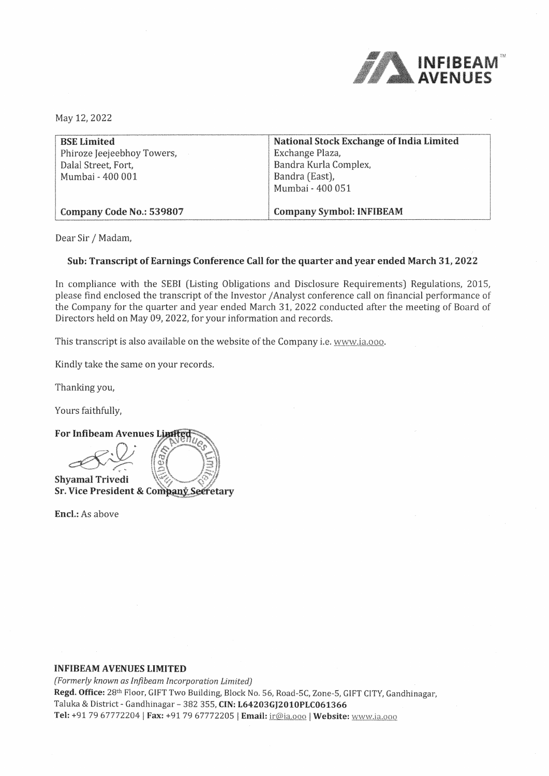

May 12, 2022

| <b>BSE Limited</b>         | National Stock Exchange of India Limited |
|----------------------------|------------------------------------------|
| Phiroze Jeejeebhoy Towers, | Exchange Plaza,                          |
| Dalal Street, Fort,        | Bandra Kurla Complex,                    |
| Mumbai - 400 001           | Bandra (East),                           |
|                            | Mumbai - 400 051                         |
|                            |                                          |
| Company Code No.: 539807   | <b>Company Symbol: INFIBEAM</b>          |

Dear Sir/ Madam,

# **Sub: Transcript of Earnings Conference Call for the quarter and year ended March 31, 2022**

In compliance with the SEBI (Listing Obligations and Disclosure Requirements) Regulations, 2015, please find enclosed the transcript of the Investor/ Analyst conference call on financial performance of the Company for the quarter and year ended March 31, 2022 conducted after the meeting of Board of Directors held on May 09, 2022, for your information and records.

This transcript is also available on the website of the Company i.e. www,ia.ooo.

Kindly take the same on your records.

Thanking you,

Yours faithfully,

**For Inflbeam Avenues**   $\frac{\infty}{\infty}$ **Shyamal Trivedi Sr. Vice President & Company Secretary** 

**Encl.:** As above

# **INFIBEAM AVENUES** LIMITED

*(Formerly known as lnftbeam Incorporation Limited)*  **Regd. Office:** 28th Floor, GIFT Two Building, Block No. 56, Road-SC, Zone-5, GIFT CITY, Gandhinagar, Taluka & District - Gandhinagar - 382 355, **CIN: L64203GJ2010PLC061366**  Tel: +91 79 67772204 | Fax: +91 79 67772205 | Email: ir@ia.ooo | Website: www.ia.ooo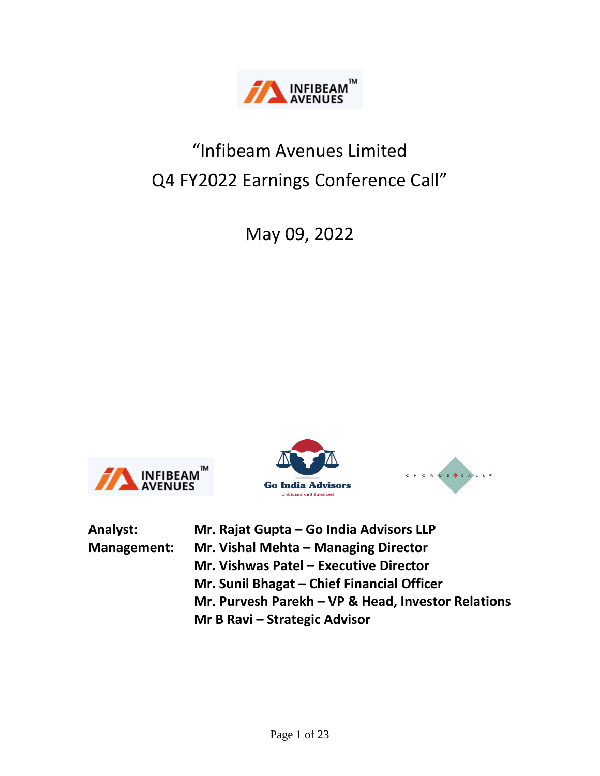

# "Infibeam Avenues Limited Q4 FY2022 Earnings Conference Call"

May 09, 2022







| Analyst:    | Mr. Rajat Gupta - Go India Advisors LLP            |
|-------------|----------------------------------------------------|
| Management: | Mr. Vishal Mehta - Managing Director               |
|             | Mr. Vishwas Patel - Executive Director             |
|             | Mr. Sunil Bhagat - Chief Financial Officer         |
|             | Mr. Purvesh Parekh - VP & Head, Investor Relations |
|             | Mr B Ravi – Strategic Advisor                      |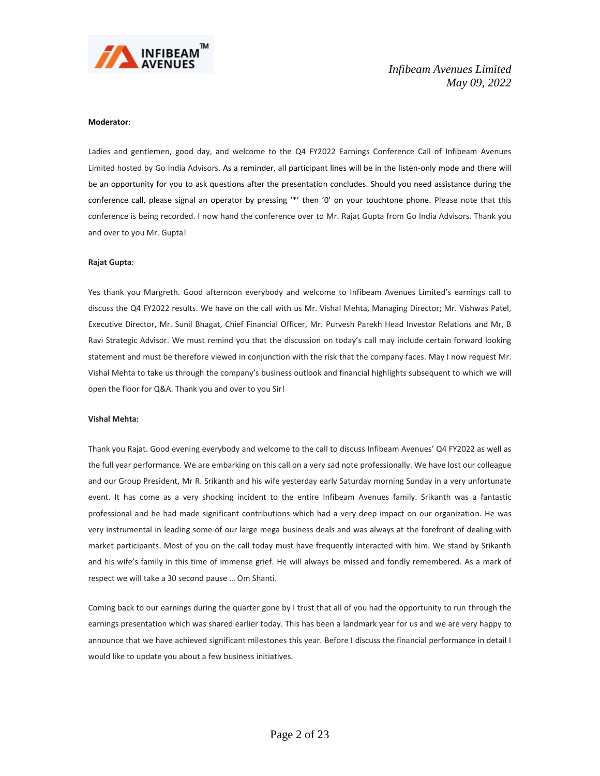

#### **Moderator**:

Ladies and gentlemen, good day, and welcome to the Q4 FY2022 Earnings Conference Call of Infibeam Avenues Limited hosted by Go India Advisors. As a reminder, all participant lines will be in the listen-only mode and there will be an opportunity for you to ask questions after the presentation concludes. Should you need assistance during the conference call, please signal an operator by pressing '\*' then '0' on your touchtone phone. Please note that this conference is being recorded. I now hand the conference over to Mr. Rajat Gupta from Go India Advisors. Thank you and over to you Mr. Gupta!

#### **Rajat Gupta**:

Yes thank you Margreth. Good afternoon everybody and welcome to Infibeam Avenues Limited's earnings call to discuss the Q4 FY2022 results. We have on the call with us Mr. Vishal Mehta, Managing Director; Mr. Vishwas Patel, Executive Director, Mr. Sunil Bhagat, Chief Financial Officer, Mr. Purvesh Parekh Head Investor Relations and Mr, B Ravi Strategic Advisor. We must remind you that the discussion on today's call may include certain forward looking statement and must be therefore viewed in conjunction with the risk that the company faces. May I now request Mr. Vishal Mehta to take us through the company's business outlook and financial highlights subsequent to which we will open the floor for Q&A. Thank you and over to you Sir!

### **Vishal Mehta:**

Thank you Rajat. Good evening everybody and welcome to the call to discuss Infibeam Avenues' Q4 FY2022 as well as the full year performance. We are embarking on this call on a very sad note professionally. We have lost our colleague and our Group President, Mr R. Srikanth and his wife yesterday early Saturday morning Sunday in a very unfortunate event. It has come as a very shocking incident to the entire Infibeam Avenues family. Srikanth was a fantastic professional and he had made significant contributions which had a very deep impact on our organization. He was very instrumental in leading some of our large mega business deals and was always at the forefront of dealing with market participants. Most of you on the call today must have frequently interacted with him. We stand by Srikanth and his wife's family in this time of immense grief. He will always be missed and fondly remembered. As a mark of respect we will take a 30 second pause … Om Shanti.

Coming back to our earnings during the quarter gone by I trust that all of you had the opportunity to run through the earnings presentation which was shared earlier today. This has been a landmark year for us and we are very happy to announce that we have achieved significant milestones this year. Before I discuss the financial performance in detail I would like to update you about a few business initiatives.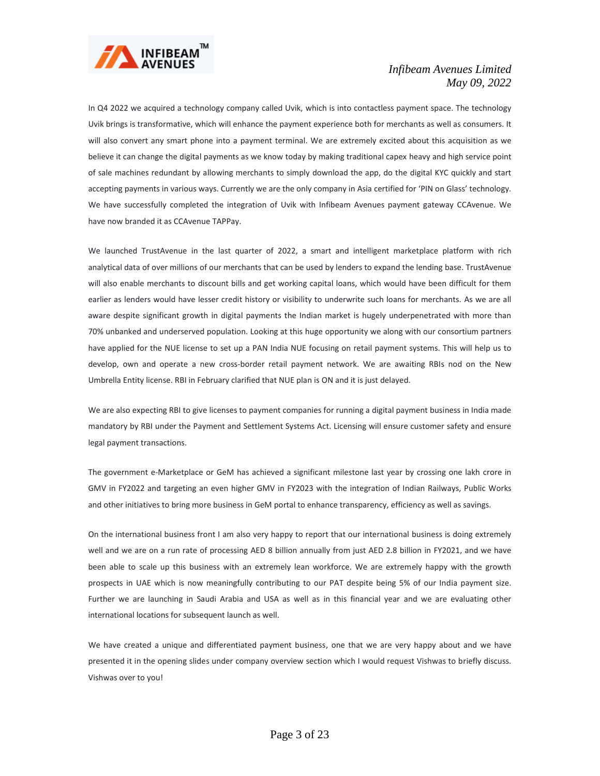

In Q4 2022 we acquired a technology company called Uvik, which is into contactless payment space. The technology Uvik brings is transformative, which will enhance the payment experience both for merchants as well as consumers. It will also convert any smart phone into a payment terminal. We are extremely excited about this acquisition as we believe it can change the digital payments as we know today by making traditional capex heavy and high service point of sale machines redundant by allowing merchants to simply download the app, do the digital KYC quickly and start accepting payments in various ways. Currently we are the only company in Asia certified for 'PIN on Glass' technology. We have successfully completed the integration of Uvik with Infibeam Avenues payment gateway CCAvenue. We have now branded it as CCAvenue TAPPay.

We launched TrustAvenue in the last quarter of 2022, a smart and intelligent marketplace platform with rich analytical data of over millions of our merchants that can be used by lenders to expand the lending base. TrustAvenue will also enable merchants to discount bills and get working capital loans, which would have been difficult for them earlier as lenders would have lesser credit history or visibility to underwrite such loans for merchants. As we are all aware despite significant growth in digital payments the Indian market is hugely underpenetrated with more than 70% unbanked and underserved population. Looking at this huge opportunity we along with our consortium partners have applied for the NUE license to set up a PAN India NUE focusing on retail payment systems. This will help us to develop, own and operate a new cross-border retail payment network. We are awaiting RBIs nod on the New Umbrella Entity license. RBI in February clarified that NUE plan is ON and it is just delayed.

We are also expecting RBI to give licenses to payment companies for running a digital payment business in India made mandatory by RBI under the Payment and Settlement Systems Act. Licensing will ensure customer safety and ensure legal payment transactions.

The government e-Marketplace or GeM has achieved a significant milestone last year by crossing one lakh crore in GMV in FY2022 and targeting an even higher GMV in FY2023 with the integration of Indian Railways, Public Works and other initiatives to bring more business in GeM portal to enhance transparency, efficiency as well as savings.

On the international business front I am also very happy to report that our international business is doing extremely well and we are on a run rate of processing AED 8 billion annually from just AED 2.8 billion in FY2021, and we have been able to scale up this business with an extremely lean workforce. We are extremely happy with the growth prospects in UAE which is now meaningfully contributing to our PAT despite being 5% of our India payment size. Further we are launching in Saudi Arabia and USA as well as in this financial year and we are evaluating other international locations for subsequent launch as well.

We have created a unique and differentiated payment business, one that we are very happy about and we have presented it in the opening slides under company overview section which I would request Vishwas to briefly discuss. Vishwas over to you!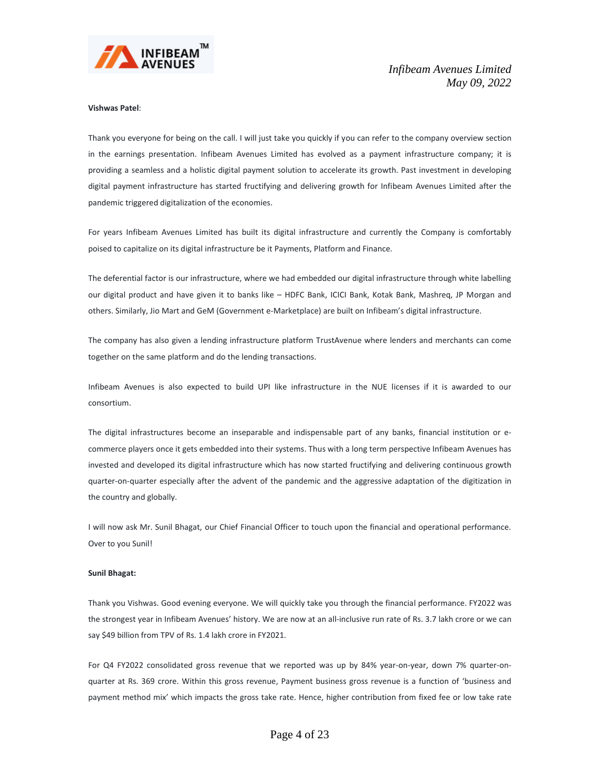

#### **Vishwas Patel**:

Thank you everyone for being on the call. I will just take you quickly if you can refer to the company overview section in the earnings presentation. Infibeam Avenues Limited has evolved as a payment infrastructure company; it is providing a seamless and a holistic digital payment solution to accelerate its growth. Past investment in developing digital payment infrastructure has started fructifying and delivering growth for Infibeam Avenues Limited after the pandemic triggered digitalization of the economies.

For years Infibeam Avenues Limited has built its digital infrastructure and currently the Company is comfortably poised to capitalize on its digital infrastructure be it Payments, Platform and Finance.

The deferential factor is our infrastructure, where we had embedded our digital infrastructure through white labelling our digital product and have given it to banks like – HDFC Bank, ICICI Bank, Kotak Bank, Mashreq, JP Morgan and others. Similarly, Jio Mart and GeM (Government e-Marketplace) are built on Infibeam's digital infrastructure.

The company has also given a lending infrastructure platform TrustAvenue where lenders and merchants can come together on the same platform and do the lending transactions.

Infibeam Avenues is also expected to build UPI like infrastructure in the NUE licenses if it is awarded to our consortium.

The digital infrastructures become an inseparable and indispensable part of any banks, financial institution or ecommerce players once it gets embedded into their systems. Thus with a long term perspective Infibeam Avenues has invested and developed its digital infrastructure which has now started fructifying and delivering continuous growth quarter-on-quarter especially after the advent of the pandemic and the aggressive adaptation of the digitization in the country and globally.

I will now ask Mr. Sunil Bhagat, our Chief Financial Officer to touch upon the financial and operational performance. Over to you Sunil!

# **Sunil Bhagat:**

Thank you Vishwas. Good evening everyone. We will quickly take you through the financial performance. FY2022 was the strongest year in Infibeam Avenues' history. We are now at an all-inclusive run rate of Rs. 3.7 lakh crore or we can say \$49 billion from TPV of Rs. 1.4 lakh crore in FY2021.

For Q4 FY2022 consolidated gross revenue that we reported was up by 84% year-on-year, down 7% quarter-onquarter at Rs. 369 crore. Within this gross revenue, Payment business gross revenue is a function of 'business and payment method mix' which impacts the gross take rate. Hence, higher contribution from fixed fee or low take rate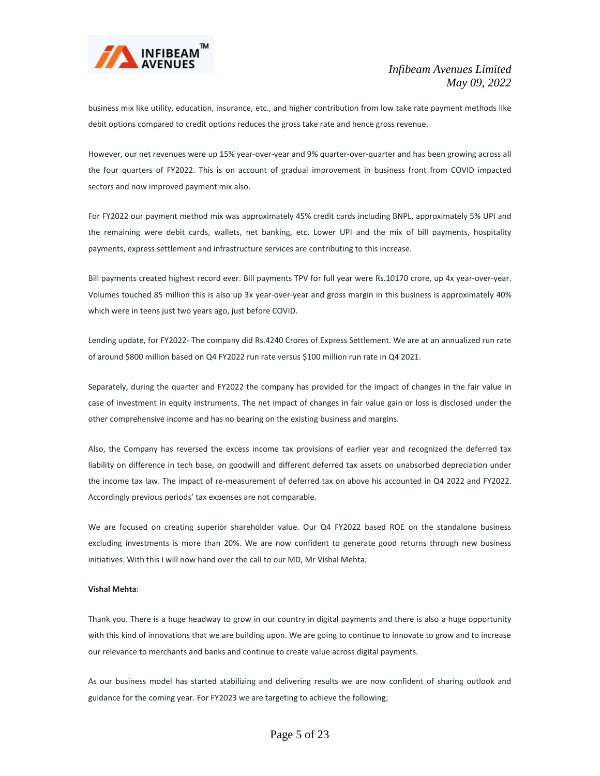

business mix like utility, education, insurance, etc., and higher contribution from low take rate payment methods like debit options compared to credit options reduces the gross take rate and hence gross revenue.

However, our net revenues were up 15% year-over-year and 9% quarter-over-quarter and has been growing across all the four quarters of FY2022. This is on account of gradual improvement in business front from COVID impacted sectors and now improved payment mix also.

For FY2022 our payment method mix was approximately 45% credit cards including BNPL, approximately 5% UPI and the remaining were debit cards, wallets, net banking, etc. Lower UPI and the mix of bill payments, hospitality payments, express settlement and infrastructure services are contributing to this increase.

Bill payments created highest record ever. Bill payments TPV for full year were Rs.10170 crore, up 4x year-over-year. Volumes touched 85 million this is also up 3x year-over-year and gross margin in this business is approximately 40% which were in teens just two years ago, just before COVID.

Lending update, for FY2022- The company did Rs.4240 Crores of Express Settlement. We are at an annualized run rate of around \$800 million based on Q4 FY2022 run rate versus \$100 million run rate in Q4 2021.

Separately, during the quarter and FY2022 the company has provided for the impact of changes in the fair value in case of investment in equity instruments. The net impact of changes in fair value gain or loss is disclosed under the other comprehensive income and has no bearing on the existing business and margins.

Also, the Company has reversed the excess income tax provisions of earlier year and recognized the deferred tax liability on difference in tech base, on goodwill and different deferred tax assets on unabsorbed depreciation under the income tax law. The impact of re-measurement of deferred tax on above his accounted in Q4 2022 and FY2022. Accordingly previous periods' tax expenses are not comparable.

We are focused on creating superior shareholder value. Our Q4 FY2022 based ROE on the standalone business excluding investments is more than 20%. We are now confident to generate good returns through new business initiatives. With this I will now hand over the call to our MD, Mr Vishal Mehta.

# **Vishal Mehta**:

Thank you. There is a huge headway to grow in our country in digital payments and there is also a huge opportunity with this kind of innovations that we are building upon. We are going to continue to innovate to grow and to increase our relevance to merchants and banks and continue to create value across digital payments.

As our business model has started stabilizing and delivering results we are now confident of sharing outlook and guidance for the coming year. For FY2023 we are targeting to achieve the following;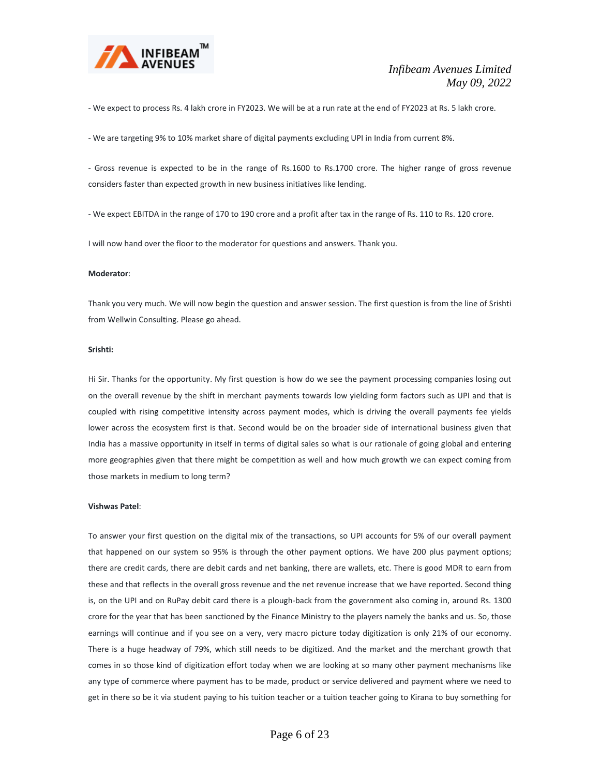

- We expect to process Rs. 4 lakh crore in FY2023. We will be at a run rate at the end of FY2023 at Rs. 5 lakh crore.

- We are targeting 9% to 10% market share of digital payments excluding UPI in India from current 8%.

- Gross revenue is expected to be in the range of Rs.1600 to Rs.1700 crore. The higher range of gross revenue considers faster than expected growth in new business initiatives like lending.

- We expect EBITDA in the range of 170 to 190 crore and a profit after tax in the range of Rs. 110 to Rs. 120 crore.

I will now hand over the floor to the moderator for questions and answers. Thank you.

#### **Moderator**:

Thank you very much. We will now begin the question and answer session. The first question is from the line of Srishti from Wellwin Consulting. Please go ahead.

#### **Srishti:**

Hi Sir. Thanks for the opportunity. My first question is how do we see the payment processing companies losing out on the overall revenue by the shift in merchant payments towards low yielding form factors such as UPI and that is coupled with rising competitive intensity across payment modes, which is driving the overall payments fee yields lower across the ecosystem first is that. Second would be on the broader side of international business given that India has a massive opportunity in itself in terms of digital sales so what is our rationale of going global and entering more geographies given that there might be competition as well and how much growth we can expect coming from those markets in medium to long term?

#### **Vishwas Patel**:

To answer your first question on the digital mix of the transactions, so UPI accounts for 5% of our overall payment that happened on our system so 95% is through the other payment options. We have 200 plus payment options; there are credit cards, there are debit cards and net banking, there are wallets, etc. There is good MDR to earn from these and that reflects in the overall gross revenue and the net revenue increase that we have reported. Second thing is, on the UPI and on RuPay debit card there is a plough-back from the government also coming in, around Rs. 1300 crore for the year that has been sanctioned by the Finance Ministry to the players namely the banks and us. So, those earnings will continue and if you see on a very, very macro picture today digitization is only 21% of our economy. There is a huge headway of 79%, which still needs to be digitized. And the market and the merchant growth that comes in so those kind of digitization effort today when we are looking at so many other payment mechanisms like any type of commerce where payment has to be made, product or service delivered and payment where we need to get in there so be it via student paying to his tuition teacher or a tuition teacher going to Kirana to buy something for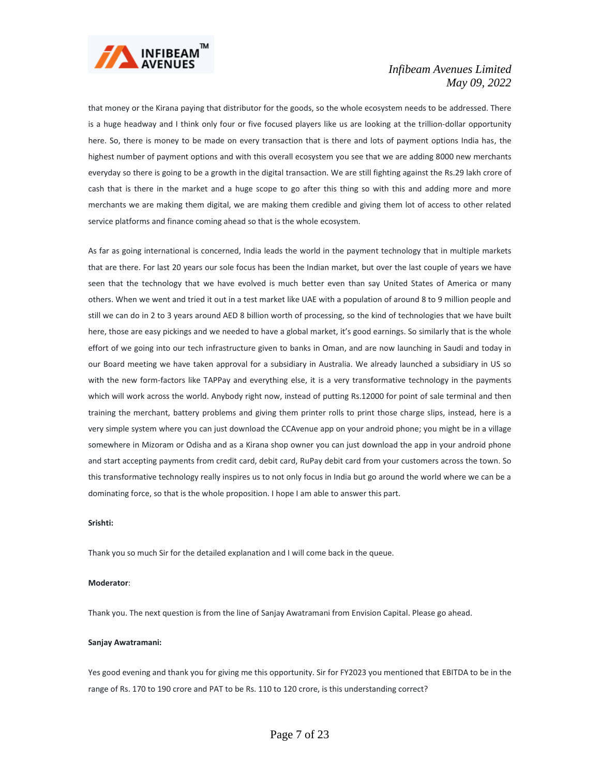

that money or the Kirana paying that distributor for the goods, so the whole ecosystem needs to be addressed. There is a huge headway and I think only four or five focused players like us are looking at the trillion-dollar opportunity here. So, there is money to be made on every transaction that is there and lots of payment options India has, the highest number of payment options and with this overall ecosystem you see that we are adding 8000 new merchants everyday so there is going to be a growth in the digital transaction. We are still fighting against the Rs.29 lakh crore of cash that is there in the market and a huge scope to go after this thing so with this and adding more and more merchants we are making them digital, we are making them credible and giving them lot of access to other related service platforms and finance coming ahead so that is the whole ecosystem.

As far as going international is concerned, India leads the world in the payment technology that in multiple markets that are there. For last 20 years our sole focus has been the Indian market, but over the last couple of years we have seen that the technology that we have evolved is much better even than say United States of America or many others. When we went and tried it out in a test market like UAE with a population of around 8 to 9 million people and still we can do in 2 to 3 years around AED 8 billion worth of processing, so the kind of technologies that we have built here, those are easy pickings and we needed to have a global market, it's good earnings. So similarly that is the whole effort of we going into our tech infrastructure given to banks in Oman, and are now launching in Saudi and today in our Board meeting we have taken approval for a subsidiary in Australia. We already launched a subsidiary in US so with the new form-factors like TAPPay and everything else, it is a very transformative technology in the payments which will work across the world. Anybody right now, instead of putting Rs.12000 for point of sale terminal and then training the merchant, battery problems and giving them printer rolls to print those charge slips, instead, here is a very simple system where you can just download the CCAvenue app on your android phone; you might be in a village somewhere in Mizoram or Odisha and as a Kirana shop owner you can just download the app in your android phone and start accepting payments from credit card, debit card, RuPay debit card from your customers across the town. So this transformative technology really inspires us to not only focus in India but go around the world where we can be a dominating force, so that is the whole proposition. I hope I am able to answer this part.

# **Srishti:**

Thank you so much Sir for the detailed explanation and I will come back in the queue.

# **Moderator**:

Thank you. The next question is from the line of Sanjay Awatramani from Envision Capital. Please go ahead.

#### **Sanjay Awatramani:**

Yes good evening and thank you for giving me this opportunity. Sir for FY2023 you mentioned that EBITDA to be in the range of Rs. 170 to 190 crore and PAT to be Rs. 110 to 120 crore, is this understanding correct?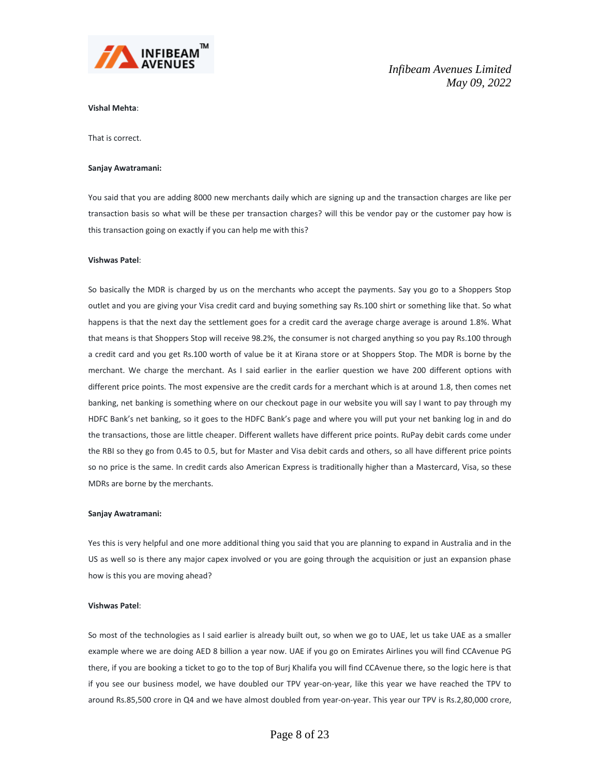

# **Vishal Mehta**:

That is correct.

#### **Sanjay Awatramani:**

You said that you are adding 8000 new merchants daily which are signing up and the transaction charges are like per transaction basis so what will be these per transaction charges? will this be vendor pay or the customer pay how is this transaction going on exactly if you can help me with this?

# **Vishwas Patel**:

So basically the MDR is charged by us on the merchants who accept the payments. Say you go to a Shoppers Stop outlet and you are giving your Visa credit card and buying something say Rs.100 shirt or something like that. So what happens is that the next day the settlement goes for a credit card the average charge average is around 1.8%. What that means is that Shoppers Stop will receive 98.2%, the consumer is not charged anything so you pay Rs.100 through a credit card and you get Rs.100 worth of value be it at Kirana store or at Shoppers Stop. The MDR is borne by the merchant. We charge the merchant. As I said earlier in the earlier question we have 200 different options with different price points. The most expensive are the credit cards for a merchant which is at around 1.8, then comes net banking, net banking is something where on our checkout page in our website you will say I want to pay through my HDFC Bank's net banking, so it goes to the HDFC Bank's page and where you will put your net banking log in and do the transactions, those are little cheaper. Different wallets have different price points. RuPay debit cards come under the RBI so they go from 0.45 to 0.5, but for Master and Visa debit cards and others, so all have different price points so no price is the same. In credit cards also American Express is traditionally higher than a Mastercard, Visa, so these MDRs are borne by the merchants.

#### **Sanjay Awatramani:**

Yes this is very helpful and one more additional thing you said that you are planning to expand in Australia and in the US as well so is there any major capex involved or you are going through the acquisition or just an expansion phase how is this you are moving ahead?

#### **Vishwas Patel**:

So most of the technologies as I said earlier is already built out, so when we go to UAE, let us take UAE as a smaller example where we are doing AED 8 billion a year now. UAE if you go on Emirates Airlines you will find CCAvenue PG there, if you are booking a ticket to go to the top of Burj Khalifa you will find CCAvenue there, so the logic here is that if you see our business model, we have doubled our TPV year-on-year, like this year we have reached the TPV to around Rs.85,500 crore in Q4 and we have almost doubled from year-on-year. This year our TPV is Rs.2,80,000 crore,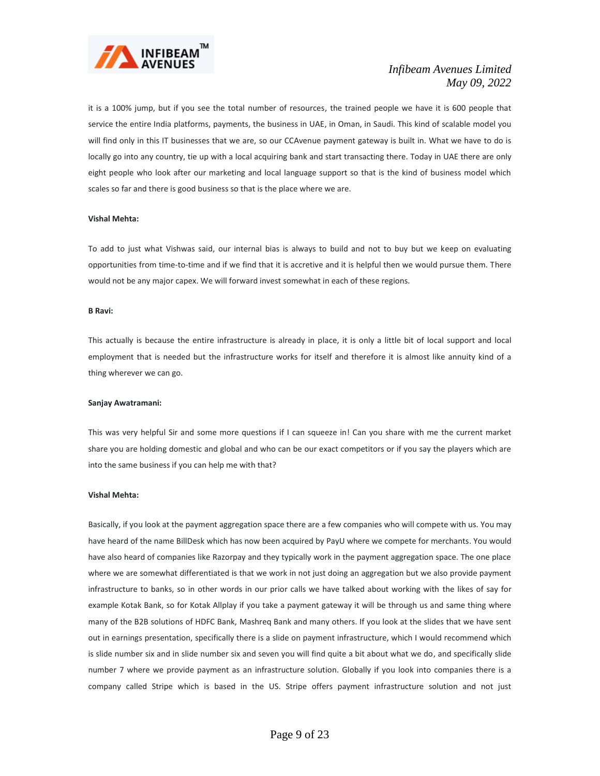

it is a 100% jump, but if you see the total number of resources, the trained people we have it is 600 people that service the entire India platforms, payments, the business in UAE, in Oman, in Saudi. This kind of scalable model you will find only in this IT businesses that we are, so our CCAvenue payment gateway is built in. What we have to do is locally go into any country, tie up with a local acquiring bank and start transacting there. Today in UAE there are only eight people who look after our marketing and local language support so that is the kind of business model which scales so far and there is good business so that is the place where we are.

# **Vishal Mehta:**

To add to just what Vishwas said, our internal bias is always to build and not to buy but we keep on evaluating opportunities from time-to-time and if we find that it is accretive and it is helpful then we would pursue them. There would not be any major capex. We will forward invest somewhat in each of these regions.

#### **B Ravi:**

This actually is because the entire infrastructure is already in place, it is only a little bit of local support and local employment that is needed but the infrastructure works for itself and therefore it is almost like annuity kind of a thing wherever we can go.

#### **Sanjay Awatramani:**

This was very helpful Sir and some more questions if I can squeeze in! Can you share with me the current market share you are holding domestic and global and who can be our exact competitors or if you say the players which are into the same business if you can help me with that?

# **Vishal Mehta:**

Basically, if you look at the payment aggregation space there are a few companies who will compete with us. You may have heard of the name BillDesk which has now been acquired by PayU where we compete for merchants. You would have also heard of companies like Razorpay and they typically work in the payment aggregation space. The one place where we are somewhat differentiated is that we work in not just doing an aggregation but we also provide payment infrastructure to banks, so in other words in our prior calls we have talked about working with the likes of say for example Kotak Bank, so for Kotak Allplay if you take a payment gateway it will be through us and same thing where many of the B2B solutions of HDFC Bank, Mashreq Bank and many others. If you look at the slides that we have sent out in earnings presentation, specifically there is a slide on payment infrastructure, which I would recommend which is slide number six and in slide number six and seven you will find quite a bit about what we do, and specifically slide number 7 where we provide payment as an infrastructure solution. Globally if you look into companies there is a company called Stripe which is based in the US. Stripe offers payment infrastructure solution and not just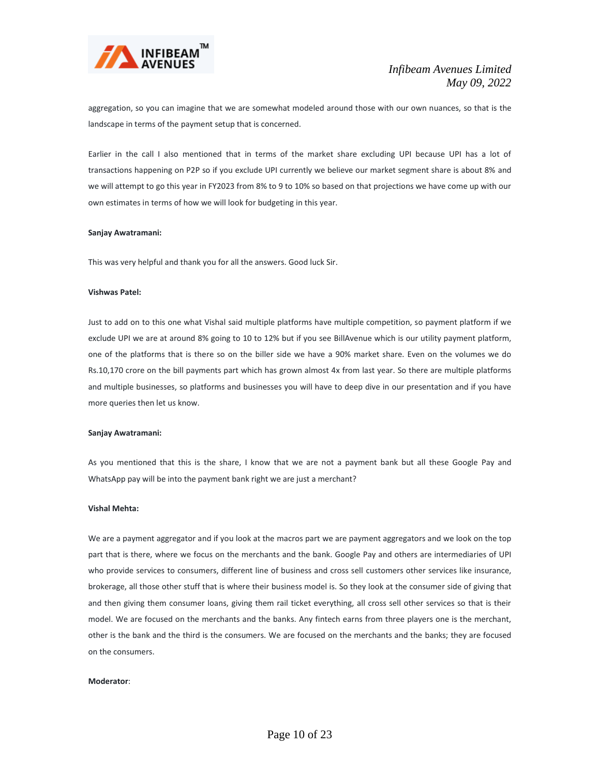

aggregation, so you can imagine that we are somewhat modeled around those with our own nuances, so that is the landscape in terms of the payment setup that is concerned.

Earlier in the call I also mentioned that in terms of the market share excluding UPI because UPI has a lot of transactions happening on P2P so if you exclude UPI currently we believe our market segment share is about 8% and we will attempt to go this year in FY2023 from 8% to 9 to 10% so based on that projections we have come up with our own estimates in terms of how we will look for budgeting in this year.

# **Sanjay Awatramani:**

This was very helpful and thank you for all the answers. Good luck Sir.

# **Vishwas Patel:**

Just to add on to this one what Vishal said multiple platforms have multiple competition, so payment platform if we exclude UPI we are at around 8% going to 10 to 12% but if you see BillAvenue which is our utility payment platform, one of the platforms that is there so on the biller side we have a 90% market share. Even on the volumes we do Rs.10,170 crore on the bill payments part which has grown almost 4x from last year. So there are multiple platforms and multiple businesses, so platforms and businesses you will have to deep dive in our presentation and if you have more queries then let us know.

#### **Sanjay Awatramani:**

As you mentioned that this is the share, I know that we are not a payment bank but all these Google Pay and WhatsApp pay will be into the payment bank right we are just a merchant?

# **Vishal Mehta:**

We are a payment aggregator and if you look at the macros part we are payment aggregators and we look on the top part that is there, where we focus on the merchants and the bank. Google Pay and others are intermediaries of UPI who provide services to consumers, different line of business and cross sell customers other services like insurance, brokerage, all those other stuff that is where their business model is. So they look at the consumer side of giving that and then giving them consumer loans, giving them rail ticket everything, all cross sell other services so that is their model. We are focused on the merchants and the banks. Any fintech earns from three players one is the merchant, other is the bank and the third is the consumers. We are focused on the merchants and the banks; they are focused on the consumers.

#### **Moderator**: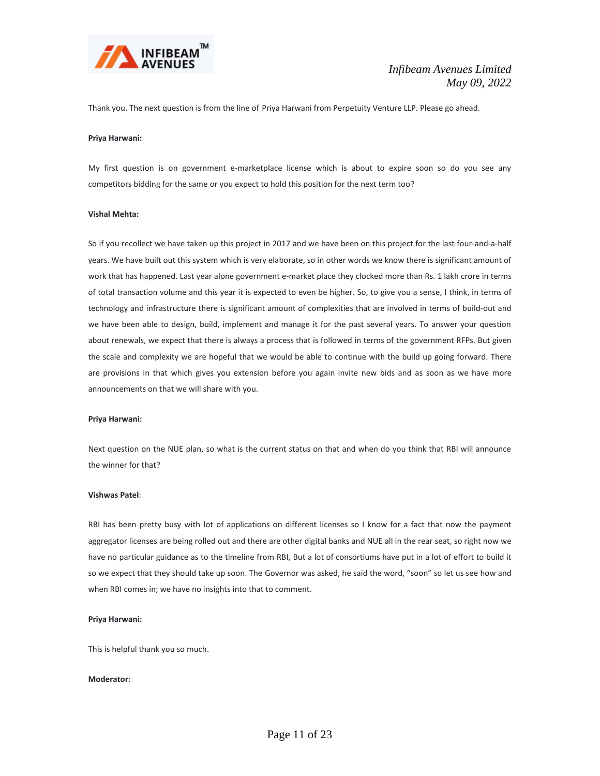

Thank you. The next question is from the line of Priya Harwani from Perpetuity Venture LLP. Please go ahead.

#### **Priya Harwani:**

My first question is on government e-marketplace license which is about to expire soon so do you see any competitors bidding for the same or you expect to hold this position for the next term too?

# **Vishal Mehta:**

So if you recollect we have taken up this project in 2017 and we have been on this project for the last four-and-a-half years. We have built out this system which is very elaborate, so in other words we know there is significant amount of work that has happened. Last year alone government e-market place they clocked more than Rs. 1 lakh crore in terms of total transaction volume and this year it is expected to even be higher. So, to give you a sense, I think, in terms of technology and infrastructure there is significant amount of complexities that are involved in terms of build-out and we have been able to design, build, implement and manage it for the past several years. To answer your question about renewals, we expect that there is always a process that is followed in terms of the government RFPs. But given the scale and complexity we are hopeful that we would be able to continue with the build up going forward. There are provisions in that which gives you extension before you again invite new bids and as soon as we have more announcements on that we will share with you.

# **Priya Harwani:**

Next question on the NUE plan, so what is the current status on that and when do you think that RBI will announce the winner for that?

## **Vishwas Patel**:

RBI has been pretty busy with lot of applications on different licenses so I know for a fact that now the payment aggregator licenses are being rolled out and there are other digital banks and NUE all in the rear seat, so right now we have no particular guidance as to the timeline from RBI, But a lot of consortiums have put in a lot of effort to build it so we expect that they should take up soon. The Governor was asked, he said the word, "soon" so let us see how and when RBI comes in; we have no insights into that to comment.

#### **Priya Harwani:**

This is helpful thank you so much.

# **Moderator**: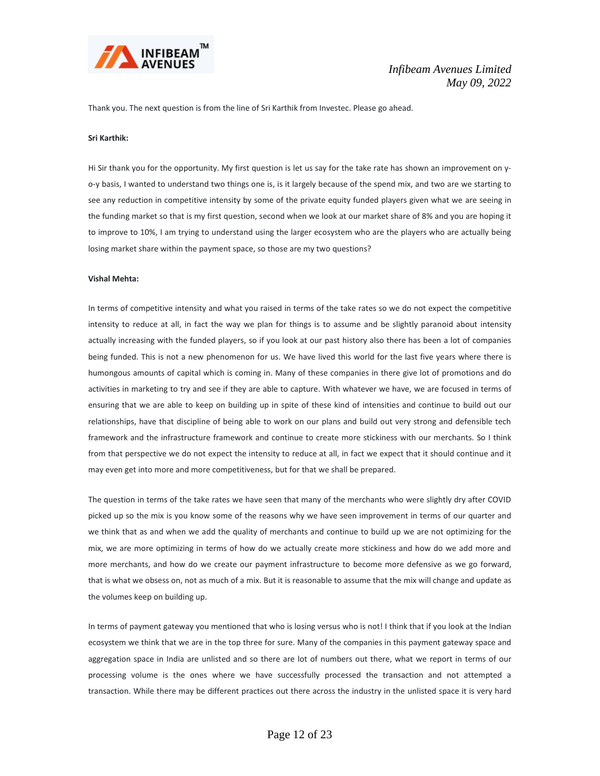

Thank you. The next question is from the line of Sri Karthik from Investec. Please go ahead.

# **Sri Karthik:**

Hi Sir thank you for the opportunity. My first question is let us say for the take rate has shown an improvement on yo-y basis, I wanted to understand two things one is, is it largely because of the spend mix, and two are we starting to see any reduction in competitive intensity by some of the private equity funded players given what we are seeing in the funding market so that is my first question, second when we look at our market share of 8% and you are hoping it to improve to 10%, I am trying to understand using the larger ecosystem who are the players who are actually being losing market share within the payment space, so those are my two questions?

#### **Vishal Mehta:**

In terms of competitive intensity and what you raised in terms of the take rates so we do not expect the competitive intensity to reduce at all, in fact the way we plan for things is to assume and be slightly paranoid about intensity actually increasing with the funded players, so if you look at our past history also there has been a lot of companies being funded. This is not a new phenomenon for us. We have lived this world for the last five years where there is humongous amounts of capital which is coming in. Many of these companies in there give lot of promotions and do activities in marketing to try and see if they are able to capture. With whatever we have, we are focused in terms of ensuring that we are able to keep on building up in spite of these kind of intensities and continue to build out our relationships, have that discipline of being able to work on our plans and build out very strong and defensible tech framework and the infrastructure framework and continue to create more stickiness with our merchants. So I think from that perspective we do not expect the intensity to reduce at all, in fact we expect that it should continue and it may even get into more and more competitiveness, but for that we shall be prepared.

The question in terms of the take rates we have seen that many of the merchants who were slightly dry after COVID picked up so the mix is you know some of the reasons why we have seen improvement in terms of our quarter and we think that as and when we add the quality of merchants and continue to build up we are not optimizing for the mix, we are more optimizing in terms of how do we actually create more stickiness and how do we add more and more merchants, and how do we create our payment infrastructure to become more defensive as we go forward, that is what we obsess on, not as much of a mix. But it is reasonable to assume that the mix will change and update as the volumes keep on building up.

In terms of payment gateway you mentioned that who is losing versus who is not! I think that if you look at the Indian ecosystem we think that we are in the top three for sure. Many of the companies in this payment gateway space and aggregation space in India are unlisted and so there are lot of numbers out there, what we report in terms of our processing volume is the ones where we have successfully processed the transaction and not attempted a transaction. While there may be different practices out there across the industry in the unlisted space it is very hard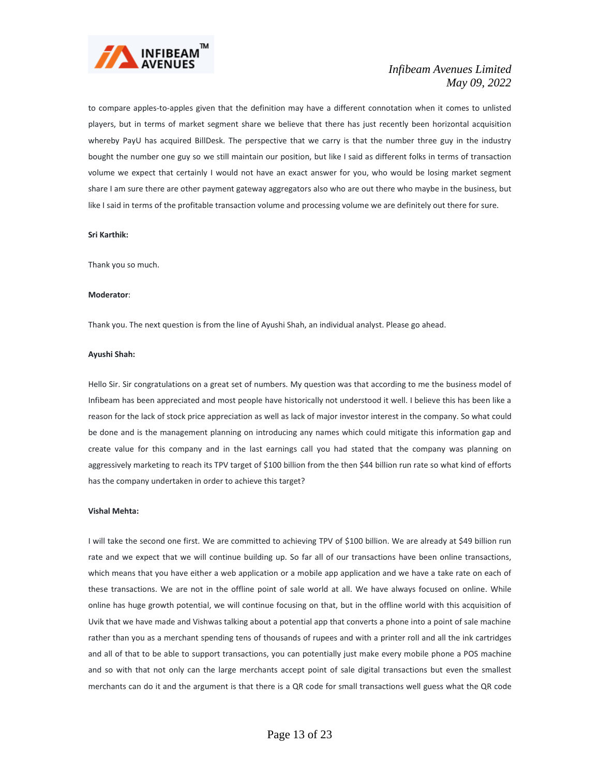

to compare apples-to-apples given that the definition may have a different connotation when it comes to unlisted players, but in terms of market segment share we believe that there has just recently been horizontal acquisition whereby PayU has acquired BillDesk. The perspective that we carry is that the number three guy in the industry bought the number one guy so we still maintain our position, but like I said as different folks in terms of transaction volume we expect that certainly I would not have an exact answer for you, who would be losing market segment share I am sure there are other payment gateway aggregators also who are out there who maybe in the business, but like I said in terms of the profitable transaction volume and processing volume we are definitely out there for sure.

#### **Sri Karthik:**

Thank you so much.

#### **Moderator**:

Thank you. The next question is from the line of Ayushi Shah, an individual analyst. Please go ahead.

# **Ayushi Shah:**

Hello Sir. Sir congratulations on a great set of numbers. My question was that according to me the business model of Infibeam has been appreciated and most people have historically not understood it well. I believe this has been like a reason for the lack of stock price appreciation as well as lack of major investor interest in the company. So what could be done and is the management planning on introducing any names which could mitigate this information gap and create value for this company and in the last earnings call you had stated that the company was planning on aggressively marketing to reach its TPV target of \$100 billion from the then \$44 billion run rate so what kind of efforts has the company undertaken in order to achieve this target?

# **Vishal Mehta:**

I will take the second one first. We are committed to achieving TPV of \$100 billion. We are already at \$49 billion run rate and we expect that we will continue building up. So far all of our transactions have been online transactions, which means that you have either a web application or a mobile app application and we have a take rate on each of these transactions. We are not in the offline point of sale world at all. We have always focused on online. While online has huge growth potential, we will continue focusing on that, but in the offline world with this acquisition of Uvik that we have made and Vishwas talking about a potential app that converts a phone into a point of sale machine rather than you as a merchant spending tens of thousands of rupees and with a printer roll and all the ink cartridges and all of that to be able to support transactions, you can potentially just make every mobile phone a POS machine and so with that not only can the large merchants accept point of sale digital transactions but even the smallest merchants can do it and the argument is that there is a QR code for small transactions well guess what the QR code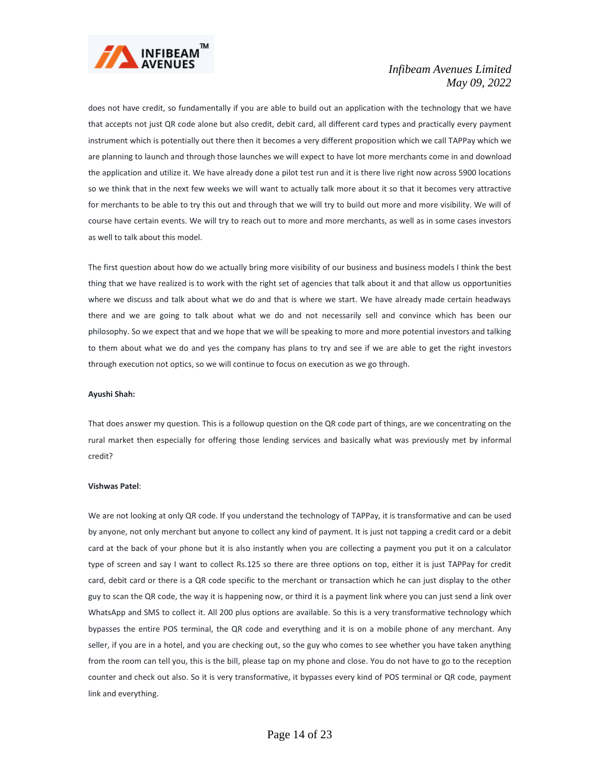

does not have credit, so fundamentally if you are able to build out an application with the technology that we have that accepts not just QR code alone but also credit, debit card, all different card types and practically every payment instrument which is potentially out there then it becomes a very different proposition which we call TAPPay which we are planning to launch and through those launches we will expect to have lot more merchants come in and download the application and utilize it. We have already done a pilot test run and it is there live right now across 5900 locations so we think that in the next few weeks we will want to actually talk more about it so that it becomes very attractive for merchants to be able to try this out and through that we will try to build out more and more visibility. We will of course have certain events. We will try to reach out to more and more merchants, as well as in some cases investors as well to talk about this model.

The first question about how do we actually bring more visibility of our business and business models I think the best thing that we have realized is to work with the right set of agencies that talk about it and that allow us opportunities where we discuss and talk about what we do and that is where we start. We have already made certain headways there and we are going to talk about what we do and not necessarily sell and convince which has been our philosophy. So we expect that and we hope that we will be speaking to more and more potential investors and talking to them about what we do and yes the company has plans to try and see if we are able to get the right investors through execution not optics, so we will continue to focus on execution as we go through.

# **Ayushi Shah:**

That does answer my question. This is a followup question on the QR code part of things, are we concentrating on the rural market then especially for offering those lending services and basically what was previously met by informal credit?

#### **Vishwas Patel**:

We are not looking at only QR code. If you understand the technology of TAPPay, it is transformative and can be used by anyone, not only merchant but anyone to collect any kind of payment. It is just not tapping a credit card or a debit card at the back of your phone but it is also instantly when you are collecting a payment you put it on a calculator type of screen and say I want to collect Rs.125 so there are three options on top, either it is just TAPPay for credit card, debit card or there is a QR code specific to the merchant or transaction which he can just display to the other guy to scan the QR code, the way it is happening now, or third it is a payment link where you can just send a link over WhatsApp and SMS to collect it. All 200 plus options are available. So this is a very transformative technology which bypasses the entire POS terminal, the QR code and everything and it is on a mobile phone of any merchant. Any seller, if you are in a hotel, and you are checking out, so the guy who comes to see whether you have taken anything from the room can tell you, this is the bill, please tap on my phone and close. You do not have to go to the reception counter and check out also. So it is very transformative, it bypasses every kind of POS terminal or QR code, payment link and everything.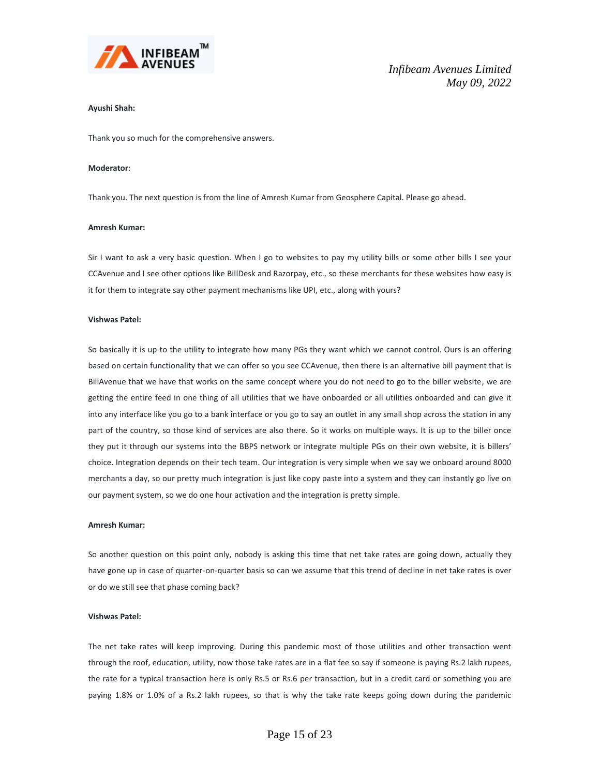

# **Ayushi Shah:**

Thank you so much for the comprehensive answers.

#### **Moderator**:

Thank you. The next question is from the line of Amresh Kumar from Geosphere Capital. Please go ahead.

#### **Amresh Kumar:**

Sir I want to ask a very basic question. When I go to websites to pay my utility bills or some other bills I see your CCAvenue and I see other options like BillDesk and Razorpay, etc., so these merchants for these websites how easy is it for them to integrate say other payment mechanisms like UPI, etc., along with yours?

#### **Vishwas Patel:**

So basically it is up to the utility to integrate how many PGs they want which we cannot control. Ours is an offering based on certain functionality that we can offer so you see CCAvenue, then there is an alternative bill payment that is BillAvenue that we have that works on the same concept where you do not need to go to the biller website, we are getting the entire feed in one thing of all utilities that we have onboarded or all utilities onboarded and can give it into any interface like you go to a bank interface or you go to say an outlet in any small shop across the station in any part of the country, so those kind of services are also there. So it works on multiple ways. It is up to the biller once they put it through our systems into the BBPS network or integrate multiple PGs on their own website, it is billers' choice. Integration depends on their tech team. Our integration is very simple when we say we onboard around 8000 merchants a day, so our pretty much integration is just like copy paste into a system and they can instantly go live on our payment system, so we do one hour activation and the integration is pretty simple.

#### **Amresh Kumar:**

So another question on this point only, nobody is asking this time that net take rates are going down, actually they have gone up in case of quarter-on-quarter basis so can we assume that this trend of decline in net take rates is over or do we still see that phase coming back?

## **Vishwas Patel:**

The net take rates will keep improving. During this pandemic most of those utilities and other transaction went through the roof, education, utility, now those take rates are in a flat fee so say if someone is paying Rs.2 lakh rupees, the rate for a typical transaction here is only Rs.5 or Rs.6 per transaction, but in a credit card or something you are paying 1.8% or 1.0% of a Rs.2 lakh rupees, so that is why the take rate keeps going down during the pandemic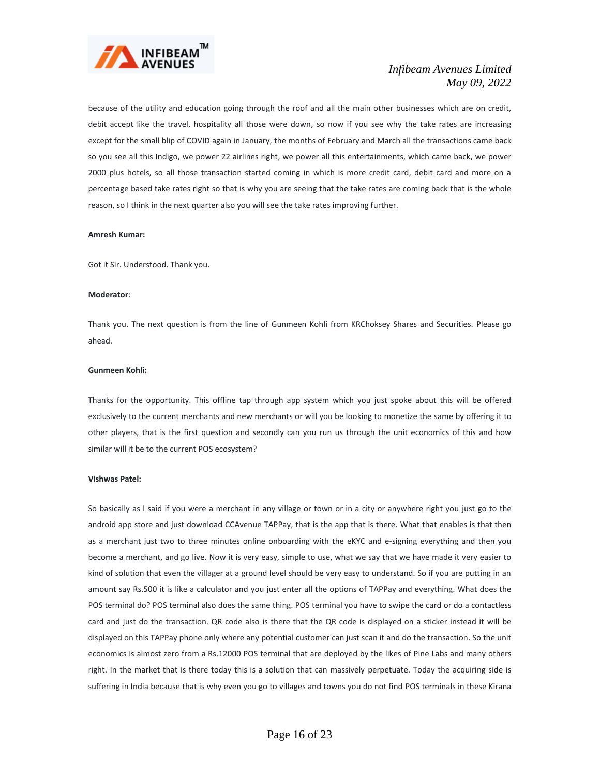

because of the utility and education going through the roof and all the main other businesses which are on credit, debit accept like the travel, hospitality all those were down, so now if you see why the take rates are increasing except for the small blip of COVID again in January, the months of February and March all the transactions came back so you see all this Indigo, we power 22 airlines right, we power all this entertainments, which came back, we power 2000 plus hotels, so all those transaction started coming in which is more credit card, debit card and more on a percentage based take rates right so that is why you are seeing that the take rates are coming back that is the whole reason, so I think in the next quarter also you will see the take rates improving further.

#### **Amresh Kumar:**

Got it Sir. Understood. Thank you.

#### **Moderator**:

Thank you. The next question is from the line of Gunmeen Kohli from KRChoksey Shares and Securities. Please go ahead.

# **Gunmeen Kohli:**

**T**hanks for the opportunity. This offline tap through app system which you just spoke about this will be offered exclusively to the current merchants and new merchants or will you be looking to monetize the same by offering it to other players, that is the first question and secondly can you run us through the unit economics of this and how similar will it be to the current POS ecosystem?

#### **Vishwas Patel:**

So basically as I said if you were a merchant in any village or town or in a city or anywhere right you just go to the android app store and just download CCAvenue TAPPay, that is the app that is there. What that enables is that then as a merchant just two to three minutes online onboarding with the eKYC and e-signing everything and then you become a merchant, and go live. Now it is very easy, simple to use, what we say that we have made it very easier to kind of solution that even the villager at a ground level should be very easy to understand. So if you are putting in an amount say Rs.500 it is like a calculator and you just enter all the options of TAPPay and everything. What does the POS terminal do? POS terminal also does the same thing. POS terminal you have to swipe the card or do a contactless card and just do the transaction. QR code also is there that the QR code is displayed on a sticker instead it will be displayed on this TAPPay phone only where any potential customer can just scan it and do the transaction. So the unit economics is almost zero from a Rs.12000 POS terminal that are deployed by the likes of Pine Labs and many others right. In the market that is there today this is a solution that can massively perpetuate. Today the acquiring side is suffering in India because that is why even you go to villages and towns you do not find POS terminals in these Kirana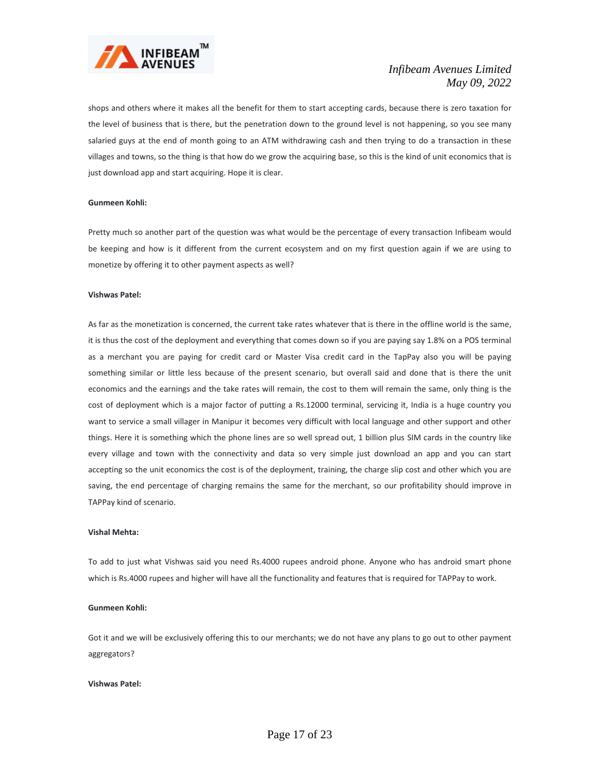

shops and others where it makes all the benefit for them to start accepting cards, because there is zero taxation for the level of business that is there, but the penetration down to the ground level is not happening, so you see many salaried guys at the end of month going to an ATM withdrawing cash and then trying to do a transaction in these villages and towns, so the thing is that how do we grow the acquiring base, so this is the kind of unit economics that is just download app and start acquiring. Hope it is clear.

# **Gunmeen Kohli:**

Pretty much so another part of the question was what would be the percentage of every transaction Infibeam would be keeping and how is it different from the current ecosystem and on my first question again if we are using to monetize by offering it to other payment aspects as well?

#### **Vishwas Patel:**

As far as the monetization is concerned, the current take rates whatever that is there in the offline world is the same, it is thus the cost of the deployment and everything that comes down so if you are paying say 1.8% on a POS terminal as a merchant you are paying for credit card or Master Visa credit card in the TapPay also you will be paying something similar or little less because of the present scenario, but overall said and done that is there the unit economics and the earnings and the take rates will remain, the cost to them will remain the same, only thing is the cost of deployment which is a major factor of putting a Rs.12000 terminal, servicing it, India is a huge country you want to service a small villager in Manipur it becomes very difficult with local language and other support and other things. Here it is something which the phone lines are so well spread out, 1 billion plus SIM cards in the country like every village and town with the connectivity and data so very simple just download an app and you can start accepting so the unit economics the cost is of the deployment, training, the charge slip cost and other which you are saving, the end percentage of charging remains the same for the merchant, so our profitability should improve in TAPPay kind of scenario.

# **Vishal Mehta:**

To add to just what Vishwas said you need Rs.4000 rupees android phone. Anyone who has android smart phone which is Rs.4000 rupees and higher will have all the functionality and features that is required for TAPPay to work.

# **Gunmeen Kohli:**

Got it and we will be exclusively offering this to our merchants; we do not have any plans to go out to other payment aggregators?

#### **Vishwas Patel:**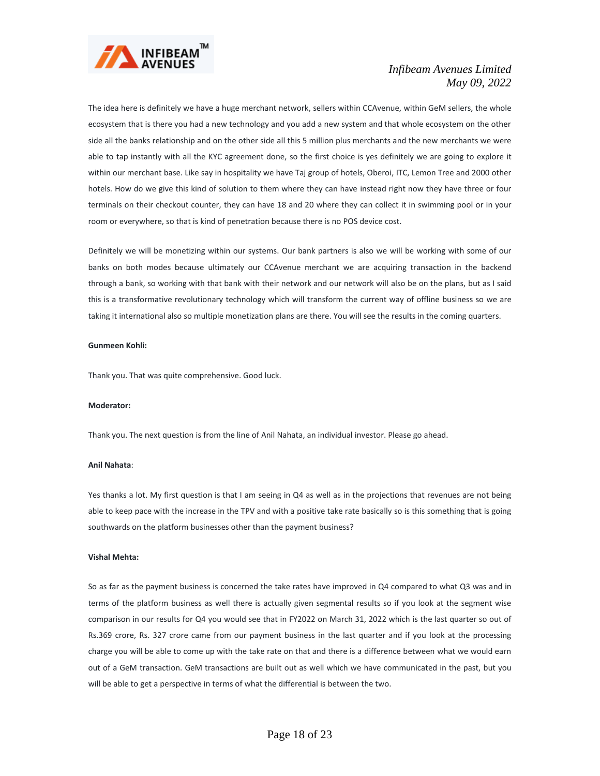

The idea here is definitely we have a huge merchant network, sellers within CCAvenue, within GeM sellers, the whole ecosystem that is there you had a new technology and you add a new system and that whole ecosystem on the other side all the banks relationship and on the other side all this 5 million plus merchants and the new merchants we were able to tap instantly with all the KYC agreement done, so the first choice is yes definitely we are going to explore it within our merchant base. Like say in hospitality we have Taj group of hotels, Oberoi, ITC, Lemon Tree and 2000 other hotels. How do we give this kind of solution to them where they can have instead right now they have three or four terminals on their checkout counter, they can have 18 and 20 where they can collect it in swimming pool or in your room or everywhere, so that is kind of penetration because there is no POS device cost.

Definitely we will be monetizing within our systems. Our bank partners is also we will be working with some of our banks on both modes because ultimately our CCAvenue merchant we are acquiring transaction in the backend through a bank, so working with that bank with their network and our network will also be on the plans, but as I said this is a transformative revolutionary technology which will transform the current way of offline business so we are taking it international also so multiple monetization plans are there. You will see the results in the coming quarters.

### **Gunmeen Kohli:**

Thank you. That was quite comprehensive. Good luck.

#### **Moderator:**

Thank you. The next question is from the line of Anil Nahata, an individual investor. Please go ahead.

#### **Anil Nahata**:

Yes thanks a lot. My first question is that I am seeing in Q4 as well as in the projections that revenues are not being able to keep pace with the increase in the TPV and with a positive take rate basically so is this something that is going southwards on the platform businesses other than the payment business?

#### **Vishal Mehta:**

So as far as the payment business is concerned the take rates have improved in Q4 compared to what Q3 was and in terms of the platform business as well there is actually given segmental results so if you look at the segment wise comparison in our results for Q4 you would see that in FY2022 on March 31, 2022 which is the last quarter so out of Rs.369 crore, Rs. 327 crore came from our payment business in the last quarter and if you look at the processing charge you will be able to come up with the take rate on that and there is a difference between what we would earn out of a GeM transaction. GeM transactions are built out as well which we have communicated in the past, but you will be able to get a perspective in terms of what the differential is between the two.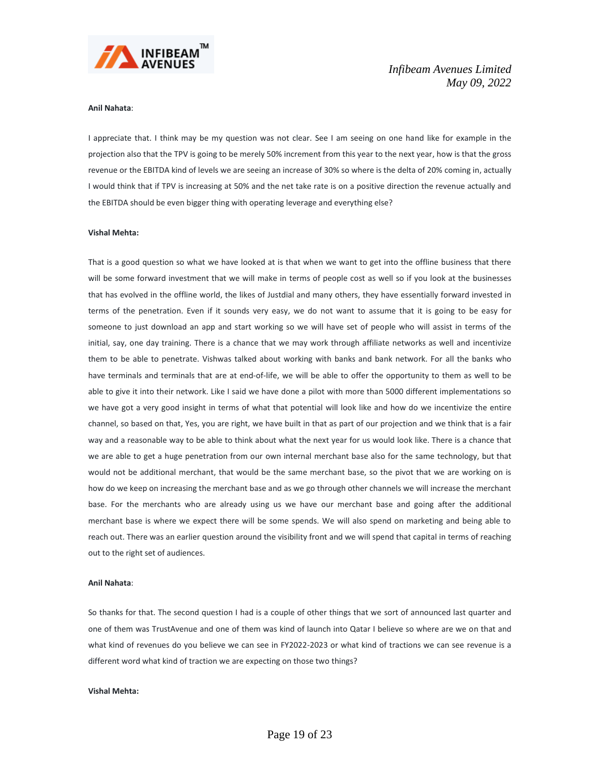

# **Anil Nahata**:

I appreciate that. I think may be my question was not clear. See I am seeing on one hand like for example in the projection also that the TPV is going to be merely 50% increment from this year to the next year, how is that the gross revenue or the EBITDA kind of levels we are seeing an increase of 30% so where is the delta of 20% coming in, actually I would think that if TPV is increasing at 50% and the net take rate is on a positive direction the revenue actually and the EBITDA should be even bigger thing with operating leverage and everything else?

#### **Vishal Mehta:**

That is a good question so what we have looked at is that when we want to get into the offline business that there will be some forward investment that we will make in terms of people cost as well so if you look at the businesses that has evolved in the offline world, the likes of Justdial and many others, they have essentially forward invested in terms of the penetration. Even if it sounds very easy, we do not want to assume that it is going to be easy for someone to just download an app and start working so we will have set of people who will assist in terms of the initial, say, one day training. There is a chance that we may work through affiliate networks as well and incentivize them to be able to penetrate. Vishwas talked about working with banks and bank network. For all the banks who have terminals and terminals that are at end-of-life, we will be able to offer the opportunity to them as well to be able to give it into their network. Like I said we have done a pilot with more than 5000 different implementations so we have got a very good insight in terms of what that potential will look like and how do we incentivize the entire channel, so based on that, Yes, you are right, we have built in that as part of our projection and we think that is a fair way and a reasonable way to be able to think about what the next year for us would look like. There is a chance that we are able to get a huge penetration from our own internal merchant base also for the same technology, but that would not be additional merchant, that would be the same merchant base, so the pivot that we are working on is how do we keep on increasing the merchant base and as we go through other channels we will increase the merchant base. For the merchants who are already using us we have our merchant base and going after the additional merchant base is where we expect there will be some spends. We will also spend on marketing and being able to reach out. There was an earlier question around the visibility front and we will spend that capital in terms of reaching out to the right set of audiences.

# **Anil Nahata**:

So thanks for that. The second question I had is a couple of other things that we sort of announced last quarter and one of them was TrustAvenue and one of them was kind of launch into Qatar I believe so where are we on that and what kind of revenues do you believe we can see in FY2022-2023 or what kind of tractions we can see revenue is a different word what kind of traction we are expecting on those two things?

# **Vishal Mehta:**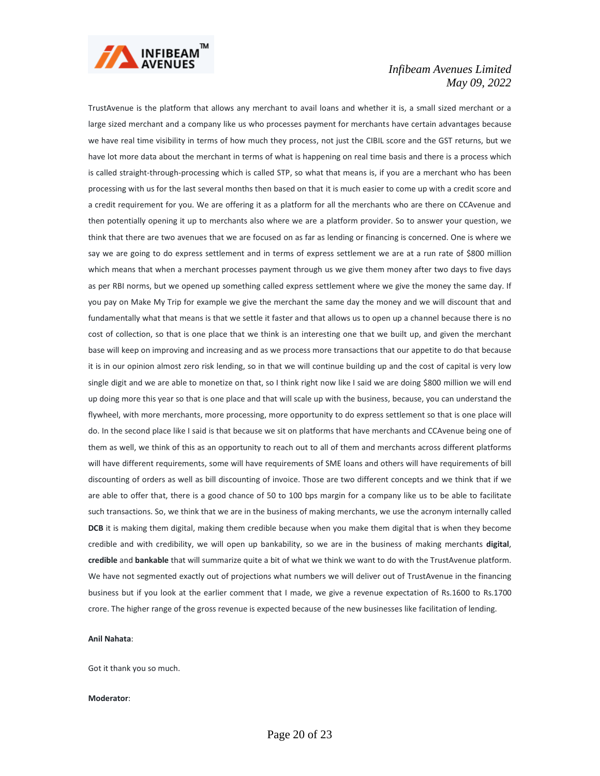

TrustAvenue is the platform that allows any merchant to avail loans and whether it is, a small sized merchant or a large sized merchant and a company like us who processes payment for merchants have certain advantages because we have real time visibility in terms of how much they process, not just the CIBIL score and the GST returns, but we have lot more data about the merchant in terms of what is happening on real time basis and there is a process which is called straight-through-processing which is called STP, so what that means is, if you are a merchant who has been processing with us for the last several months then based on that it is much easier to come up with a credit score and a credit requirement for you. We are offering it as a platform for all the merchants who are there on CCAvenue and then potentially opening it up to merchants also where we are a platform provider. So to answer your question, we think that there are two avenues that we are focused on as far as lending or financing is concerned. One is where we say we are going to do express settlement and in terms of express settlement we are at a run rate of \$800 million which means that when a merchant processes payment through us we give them money after two days to five days as per RBI norms, but we opened up something called express settlement where we give the money the same day. If you pay on Make My Trip for example we give the merchant the same day the money and we will discount that and fundamentally what that means is that we settle it faster and that allows us to open up a channel because there is no cost of collection, so that is one place that we think is an interesting one that we built up, and given the merchant base will keep on improving and increasing and as we process more transactions that our appetite to do that because it is in our opinion almost zero risk lending, so in that we will continue building up and the cost of capital is very low single digit and we are able to monetize on that, so I think right now like I said we are doing \$800 million we will end up doing more this year so that is one place and that will scale up with the business, because, you can understand the flywheel, with more merchants, more processing, more opportunity to do express settlement so that is one place will do. In the second place like I said is that because we sit on platforms that have merchants and CCAvenue being one of them as well, we think of this as an opportunity to reach out to all of them and merchants across different platforms will have different requirements, some will have requirements of SME loans and others will have requirements of bill discounting of orders as well as bill discounting of invoice. Those are two different concepts and we think that if we are able to offer that, there is a good chance of 50 to 100 bps margin for a company like us to be able to facilitate such transactions. So, we think that we are in the business of making merchants, we use the acronym internally called **DCB** it is making them digital, making them credible because when you make them digital that is when they become credible and with credibility, we will open up bankability, so we are in the business of making merchants **digital**, **credible** and **bankable** that will summarize quite a bit of what we think we want to do with the TrustAvenue platform. We have not segmented exactly out of projections what numbers we will deliver out of TrustAvenue in the financing business but if you look at the earlier comment that I made, we give a revenue expectation of Rs.1600 to Rs.1700 crore. The higher range of the gross revenue is expected because of the new businesses like facilitation of lending.

## **Anil Nahata**:

Got it thank you so much.

#### **Moderator**: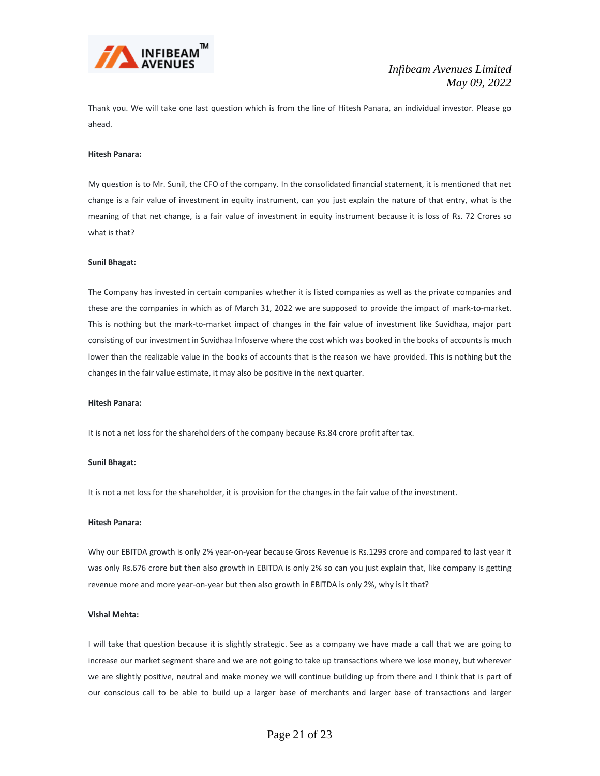

Thank you. We will take one last question which is from the line of Hitesh Panara, an individual investor. Please go ahead.

# **Hitesh Panara:**

My question is to Mr. Sunil, the CFO of the company. In the consolidated financial statement, it is mentioned that net change is a fair value of investment in equity instrument, can you just explain the nature of that entry, what is the meaning of that net change, is a fair value of investment in equity instrument because it is loss of Rs. 72 Crores so what is that?

#### **Sunil Bhagat:**

The Company has invested in certain companies whether it is listed companies as well as the private companies and these are the companies in which as of March 31, 2022 we are supposed to provide the impact of mark-to-market. This is nothing but the mark-to-market impact of changes in the fair value of investment like Suvidhaa, major part consisting of our investment in Suvidhaa Infoserve where the cost which was booked in the books of accounts is much lower than the realizable value in the books of accounts that is the reason we have provided. This is nothing but the changes in the fair value estimate, it may also be positive in the next quarter.

# **Hitesh Panara:**

It is not a net loss for the shareholders of the company because Rs.84 crore profit after tax.

# **Sunil Bhagat:**

It is not a net loss for the shareholder, it is provision for the changes in the fair value of the investment.

#### **Hitesh Panara:**

Why our EBITDA growth is only 2% year-on-year because Gross Revenue is Rs.1293 crore and compared to last year it was only Rs.676 crore but then also growth in EBITDA is only 2% so can you just explain that, like company is getting revenue more and more year-on-year but then also growth in EBITDA is only 2%, why is it that?

# **Vishal Mehta:**

I will take that question because it is slightly strategic. See as a company we have made a call that we are going to increase our market segment share and we are not going to take up transactions where we lose money, but wherever we are slightly positive, neutral and make money we will continue building up from there and I think that is part of our conscious call to be able to build up a larger base of merchants and larger base of transactions and larger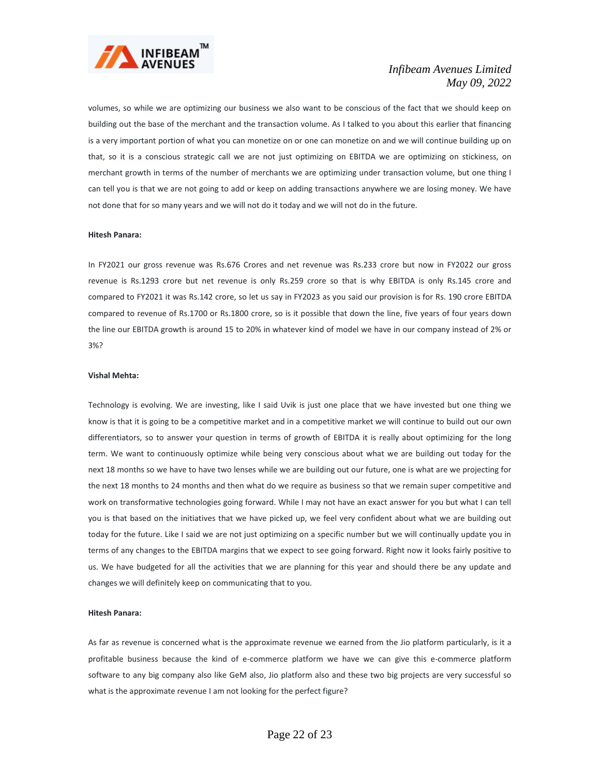

volumes, so while we are optimizing our business we also want to be conscious of the fact that we should keep on building out the base of the merchant and the transaction volume. As I talked to you about this earlier that financing is a very important portion of what you can monetize on or one can monetize on and we will continue building up on that, so it is a conscious strategic call we are not just optimizing on EBITDA we are optimizing on stickiness, on merchant growth in terms of the number of merchants we are optimizing under transaction volume, but one thing I can tell you is that we are not going to add or keep on adding transactions anywhere we are losing money. We have not done that for so many years and we will not do it today and we will not do in the future.

#### **Hitesh Panara:**

In FY2021 our gross revenue was Rs.676 Crores and net revenue was Rs.233 crore but now in FY2022 our gross revenue is Rs.1293 crore but net revenue is only Rs.259 crore so that is why EBITDA is only Rs.145 crore and compared to FY2021 it was Rs.142 crore, so let us say in FY2023 as you said our provision is for Rs. 190 crore EBITDA compared to revenue of Rs.1700 or Rs.1800 crore, so is it possible that down the line, five years of four years down the line our EBITDA growth is around 15 to 20% in whatever kind of model we have in our company instead of 2% or 3%?

#### **Vishal Mehta:**

Technology is evolving. We are investing, like I said Uvik is just one place that we have invested but one thing we know is that it is going to be a competitive market and in a competitive market we will continue to build out our own differentiators, so to answer your question in terms of growth of EBITDA it is really about optimizing for the long term. We want to continuously optimize while being very conscious about what we are building out today for the next 18 months so we have to have two lenses while we are building out our future, one is what are we projecting for the next 18 months to 24 months and then what do we require as business so that we remain super competitive and work on transformative technologies going forward. While I may not have an exact answer for you but what I can tell you is that based on the initiatives that we have picked up, we feel very confident about what we are building out today for the future. Like I said we are not just optimizing on a specific number but we will continually update you in terms of any changes to the EBITDA margins that we expect to see going forward. Right now it looks fairly positive to us. We have budgeted for all the activities that we are planning for this year and should there be any update and changes we will definitely keep on communicating that to you.

# **Hitesh Panara:**

As far as revenue is concerned what is the approximate revenue we earned from the Jio platform particularly, is it a profitable business because the kind of e-commerce platform we have we can give this e-commerce platform software to any big company also like GeM also, Jio platform also and these two big projects are very successful so what is the approximate revenue I am not looking for the perfect figure?